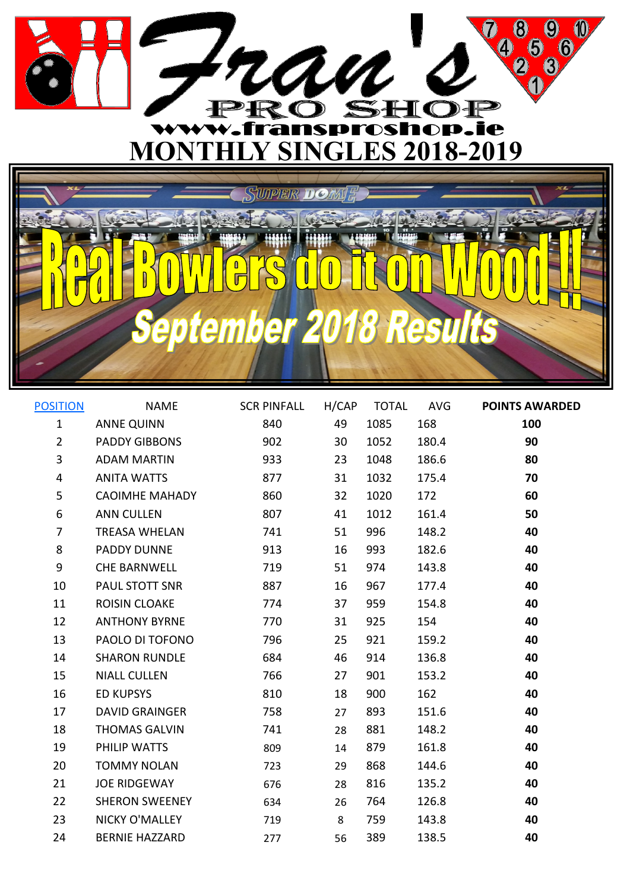

日のみ

## UTIPIEIR  $\mathbf{0}$  $\overline{\mathbb{Q}}$ September 2018 Resu

| <b>POSITION</b> | NAME                  | <b>SCR PINFALL</b> | H/CAP | <b>TOTAL</b> | AVG   | <b>POINTS AWARDED</b> |
|-----------------|-----------------------|--------------------|-------|--------------|-------|-----------------------|
| $\mathbf{1}$    | <b>ANNE QUINN</b>     | 840                | 49    | 1085         | 168   | 100                   |
| $\overline{2}$  | <b>PADDY GIBBONS</b>  | 902                | 30    | 1052         | 180.4 | 90                    |
| $\overline{3}$  | <b>ADAM MARTIN</b>    | 933                | 23    | 1048         | 186.6 | 80                    |
| $\overline{4}$  | <b>ANITA WATTS</b>    | 877                | 31    | 1032         | 175.4 | 70                    |
| 5               | <b>CAOIMHE MAHADY</b> | 860                | 32    | 1020         | 172   | 60                    |
| 6               | <b>ANN CULLEN</b>     | 807                | 41    | 1012         | 161.4 | 50                    |
| 7               | <b>TREASA WHELAN</b>  | 741                | 51    | 996          | 148.2 | 40                    |
| 8               | PADDY DUNNE           | 913                | 16    | 993          | 182.6 | 40                    |
| 9               | <b>CHE BARNWELL</b>   | 719                | 51    | 974          | 143.8 | 40                    |
| 10              | PAUL STOTT SNR        | 887                | 16    | 967          | 177.4 | 40                    |
| 11              | <b>ROISIN CLOAKE</b>  | 774                | 37    | 959          | 154.8 | 40                    |
| 12              | <b>ANTHONY BYRNE</b>  | 770                | 31    | 925          | 154   | 40                    |
| 13              | PAOLO DI TOFONO       | 796                | 25    | 921          | 159.2 | 40                    |
| 14              | <b>SHARON RUNDLE</b>  | 684                | 46    | 914          | 136.8 | 40                    |
| 15              | <b>NIALL CULLEN</b>   | 766                | 27    | 901          | 153.2 | 40                    |
| 16              | <b>ED KUPSYS</b>      | 810                | 18    | 900          | 162   | 40                    |
| 17              | <b>DAVID GRAINGER</b> | 758                | 27    | 893          | 151.6 | 40                    |
| 18              | <b>THOMAS GALVIN</b>  | 741                | 28    | 881          | 148.2 | 40                    |
| 19              | PHILIP WATTS          | 809                | 14    | 879          | 161.8 | 40                    |
| 20              | <b>TOMMY NOLAN</b>    | 723                | 29    | 868          | 144.6 | 40                    |
| 21              | <b>JOE RIDGEWAY</b>   | 676                | 28    | 816          | 135.2 | 40                    |
| 22              | <b>SHERON SWEENEY</b> | 634                | 26    | 764          | 126.8 | 40                    |
| 23              | NICKY O'MALLEY        | 719                | 8     | 759          | 143.8 | 40                    |
| 24              | <b>BERNIE HAZZARD</b> | 277                | 56    | 389          | 138.5 | 40                    |
|                 |                       |                    |       |              |       |                       |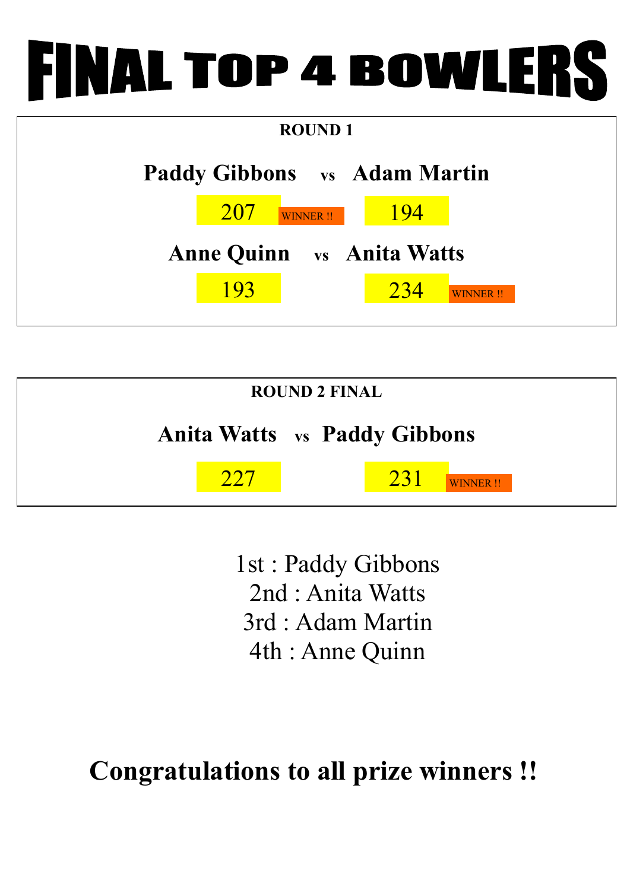## FINAL TOP 4 BOWLERS

| <b>ROUND 1</b>                      |  |  |  |  |  |
|-------------------------------------|--|--|--|--|--|
| <b>Paddy Gibbons</b> vs Adam Martin |  |  |  |  |  |
| $207$ WINNER !!<br>194              |  |  |  |  |  |
| <b>Anne Quinn</b> vs Anita Watts    |  |  |  |  |  |
| 193<br>234<br><b>WINNER!!</b>       |  |  |  |  |  |

|                                     | <b>ROUND 2 FINAL</b> |     |         |  |
|-------------------------------------|----------------------|-----|---------|--|
| <b>Anita Watts vs Paddy Gibbons</b> |                      |     |         |  |
|                                     |                      | 231 | WINNER! |  |

1st : Paddy Gibbons 2nd : Anita Watts 3rd : Adam Martin 4th : Anne Quinn

## **Congratulations to all prize winners !!**